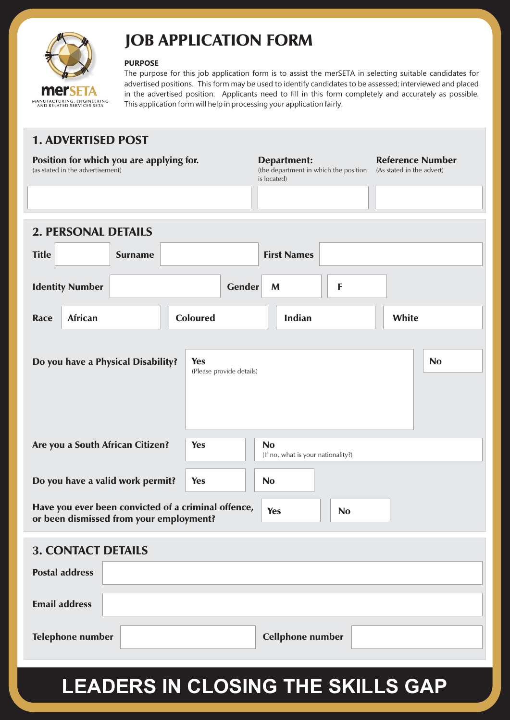

## JOB APPLICATION FORM

#### **PURPOSE**

The purpose for this job application form is to assist the merSETA in selecting suitable candidates for advertised positions. This form may be used to identify candidates to be assessed; interviewed and placed in the advertised position. Applicants need to fill in this form completely and accurately as possible. This application form will help in processing your application fairly.

### 1. ADVERTISED POST

#### Position for which you are applying for.

(as stated in the advertisement)

#### Department:

(the department in which the position (As stated in the advert) is located)

#### Reference Number

| <b>2. PERSONAL DETAILS</b>              |                |                                                     |                                                 |           |           |
|-----------------------------------------|----------------|-----------------------------------------------------|-------------------------------------------------|-----------|-----------|
| <b>Title</b>                            | <b>Surname</b> |                                                     | <b>First Names</b>                              |           |           |
| <b>Identity Number</b>                  |                | <b>Gender</b>                                       | M                                               | F         |           |
| <b>African</b><br><b>Race</b>           |                | <b>Coloured</b>                                     | <b>Indian</b>                                   |           | White     |
|                                         |                |                                                     |                                                 |           |           |
| Do you have a Physical Disability?      |                | <b>Yes</b><br>(Please provide details)              |                                                 |           | <b>No</b> |
|                                         |                |                                                     |                                                 |           |           |
| Are you a South African Citizen?        |                | <b>Yes</b>                                          | <b>No</b><br>(If no, what is your nationality?) |           |           |
| Do you have a valid work permit?        |                | <b>Yes</b>                                          | <b>No</b>                                       |           |           |
| or been dismissed from your employment? |                | Have you ever been convicted of a criminal offence, | <b>Yes</b>                                      | <b>No</b> |           |
| <b>3. CONTACT DETAILS</b>               |                |                                                     |                                                 |           |           |
| <b>Postal address</b>                   |                |                                                     |                                                 |           |           |
| <b>Email address</b>                    |                |                                                     |                                                 |           |           |
| <b>Telephone number</b>                 |                |                                                     | <b>Cellphone number</b>                         |           |           |

# LEADERS IN CLOSING THE SKILLS GAP